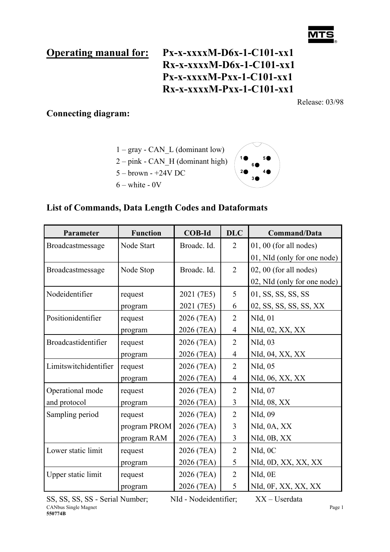# **Operating manual for: Px-x-xxxxM-D6x-1-C101-xx1 Rx-x-xxxxM-D6x-1-C101-xx1 Px-x-xxxxM-Pxx-1-C101-xx1 Rx-x-xxxxM-Pxx-1-C101-xx1**

Release: 03/98

## **Connecting diagram:**

 $1 - gray - CAN$  L (dominant low) 2 – pink - CAN\_H (dominant high)

- 5 brown +24V DC
- $6 white 0V$



## **List of Commands, Data Length Codes and Dataformats**

| Parameter             | <b>Function</b> | <b>COB-Id</b> | <b>DLC</b>     | <b>Command/Data</b>         |
|-----------------------|-----------------|---------------|----------------|-----------------------------|
| Broadcastmessage      | Node Start      | Broadc. Id.   | $\overline{2}$ | 01, 00 (for all nodes)      |
|                       |                 |               |                | 01, NId (only for one node) |
| Broadcastmessage      | Node Stop       | Broadc. Id.   | $\overline{2}$ | 02, 00 (for all nodes)      |
|                       |                 |               |                | 02, NId (only for one node) |
| Nodeidentifier        | request         | 2021 (7E5)    | 5              | 01, SS, SS, SS, SS          |
|                       | program         | 2021 (7E5)    | 6              | 02, SS, SS, SS, SS, XX      |
| Positionidentifier    | request         | 2026 (7EA)    | $\overline{2}$ | NId, 01                     |
|                       | program         | 2026 (7EA)    | $\overline{4}$ | NId, 02, XX, XX             |
| Broadcastidentifier   | request         | 2026 (7EA)    | $\overline{2}$ | NId, 03                     |
|                       | program         | 2026 (7EA)    | $\overline{4}$ | NId, 04, XX, XX             |
| Limitswitchidentifier | request         | 2026 (7EA)    | $\overline{2}$ | NId, 05                     |
|                       | program         | 2026 (7EA)    | $\overline{4}$ | NId, 06, XX, XX             |
| Operational mode      | request         | 2026 (7EA)    | $\overline{2}$ | NId, 07                     |
| and protocol          | program         | 2026 (7EA)    | 3              | NId, 08, XX                 |
| Sampling period       | request         | 2026 (7EA)    | $\overline{2}$ | NId, 09                     |
|                       | program PROM    | 2026 (7EA)    | $\overline{3}$ | NId, 0A, XX                 |
|                       | program RAM     | 2026 (7EA)    | 3              | NId, 0B, XX                 |
| Lower static limit    | request         | 2026 (7EA)    | $\overline{2}$ | NId, 0C                     |
|                       | program         | 2026 (7EA)    | 5              | NId, 0D, XX, XX, XX         |
| Upper static limit    | request         | 2026 (7EA)    | $\overline{2}$ | NId, 0E                     |
|                       | program         | 2026 (7EA)    | 5              | NId, 0F, XX, XX, XX         |

CANbus Single Magnet SS, SS, SS, SS - Serial Number; NId - Nodeidentifier; XX – Userdata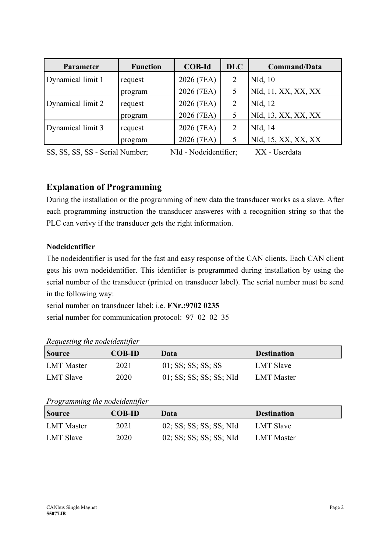| Parameter         | <b>Function</b> | <b>COB-Id</b> | <b>DLC</b> | Command/Data        |
|-------------------|-----------------|---------------|------------|---------------------|
| Dynamical limit 1 | request         | 2026 (7EA)    |            | NId, 10             |
|                   | program         | 2026 (7EA)    | 5          | NId, 11, XX, XX, XX |
| Dynamical limit 2 | request         | 2026 (7EA)    |            | NId, 12             |
|                   | program         | 2026 (7EA)    | 5          | NId, 13, XX, XX, XX |
| Dynamical limit 3 | request         | 2026 (7EA)    |            | NId, 14             |
|                   | program         | 2026 (7EA)    | 5          | NId, 15, XX, XX, XX |

SS, SS, SS, SS - Serial Number; NId - Nodeidentifier; XX - Userdata

## **Explanation of Programming**

During the installation or the programming of new data the transducer works as a slave. After each programming instruction the transducer answeres with a recognition string so that the PLC can verivy if the transducer gets the right information.

#### **Nodeidentifier**

The nodeidentifier is used for the fast and easy response of the CAN clients. Each CAN client gets his own nodeidentifier. This identifier is programmed during installation by using the serial number of the transducer (printed on transducer label). The serial number must be send in the following way:

serial number on transducer label: i.e. **FNr.:9702 0235**  serial number for communication protocol: 97 02 02 35

| $\sim$           |               |                         |                    |
|------------------|---------------|-------------------------|--------------------|
| <b>Source</b>    | <b>COB-ID</b> | Data                    | <b>Destination</b> |
| LMT Master       | 2021          | $01$ ; SS; SS; SS; SS   | LMT Slave          |
| <b>LMT Slave</b> | 2020          | 01; SS; SS; SS; SS; NId | <b>LMT</b> Master  |

*Requesting the nodeidentifier* 

*Programming the nodeidentifier* 

| <b>Source</b> | <b>COB-ID</b> | Data                    | <b>Destination</b> |
|---------------|---------------|-------------------------|--------------------|
| LMT Master    | 2021          | 02; SS; SS; SS; SS; NId | LMT Slave          |
| LMT Slave     | 2020          | 02; SS; SS; SS; SS; NId | LMT Master         |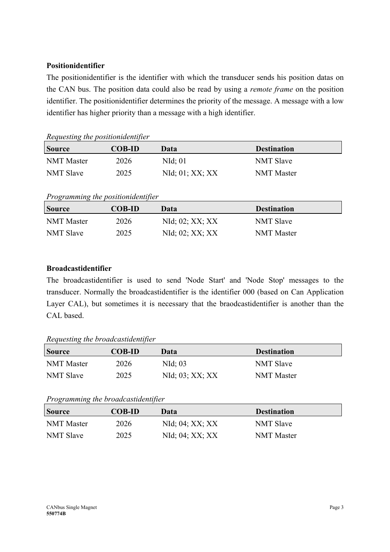#### **Positionidentifier**

The positionidentifier is the identifier with which the transducer sends his position datas on the CAN bus. The position data could also be read by using a *remote frame* on the position identifier. The positionidentifier determines the priority of the message. A message with a low identifier has higher priority than a message with a high identifier.

*Requesting the positionidentifier* 

| <b>Source</b>    | <b>COB-ID</b> | Data                       | <b>Destination</b> |
|------------------|---------------|----------------------------|--------------------|
| NMT Master       | 2026          | $NId$ ; 01                 | <b>NMT Slave</b>   |
| <b>NMT Slave</b> | 2025          | $NId$ ; $01$ ; $XX$ ; $XX$ | <b>NMT</b> Master  |

*Programming the positionidentifier* 

| <b>Source</b>    | <b>COB-ID</b> | Data                       | <b>Destination</b> |
|------------------|---------------|----------------------------|--------------------|
| NMT Master       | 2026          | $NId$ ; $02$ ; $XX$ ; $XX$ | <b>NMT Slave</b>   |
| <b>NMT Slave</b> | 2025          | $NId$ ; $02$ ; $XX$ ; $XX$ | <b>NMT</b> Master  |

## **Broadcastidentifier**

The broadcastidentifier is used to send 'Node Start' and 'Node Stop' messages to the transducer. Normally the broadcastidentifier is the identifier 000 (based on Can Application Layer CAL), but sometimes it is necessary that the braodcastidentifier is another than the CAL based.

*Requesting the broadcastidentifier* 

| <b>Source</b>    | <b>COB-ID</b> | Data                    | <b>Destination</b> |
|------------------|---------------|-------------------------|--------------------|
| NMT Master       | 2026          | $NId$ ; 03              | <b>NMT Slave</b>   |
| <b>NMT Slave</b> | 2025          | $NId$ ; 03; $XX$ ; $XX$ | <b>NMT</b> Master  |

*Programming the broadcastidentifier* 

| <b>Source</b>    | <b>COB-ID</b> | Data                       | <b>Destination</b> |
|------------------|---------------|----------------------------|--------------------|
| NMT Master       | 2026          | $NId$ ; $04$ ; $XX$ ; $XX$ | <b>NMT Slave</b>   |
| <b>NMT Slave</b> | 2025          | $NId$ ; $04$ ; $XX$ ; $XX$ | <b>NMT</b> Master  |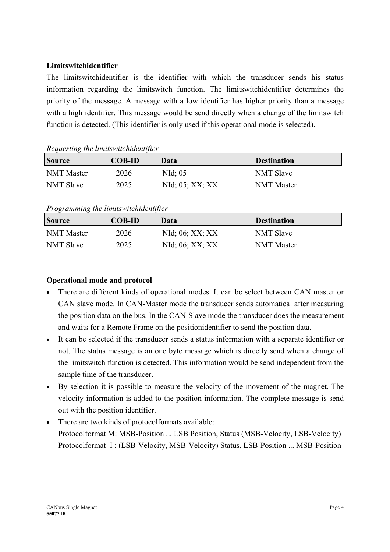#### **Limitswitchidentifier**

The limitswitchidentifier is the identifier with which the transducer sends his status information regarding the limitswitch function. The limitswitchidentifier determines the priority of the message. A message with a low identifier has higher priority than a message with a high identifier. This message would be send directly when a change of the limitswitch function is detected. (This identifier is only used if this operational mode is selected).

|                   | <i>Requesting the times whenthelington</i> |                            |                    |  |  |  |  |
|-------------------|--------------------------------------------|----------------------------|--------------------|--|--|--|--|
| <b>Source</b>     | <b>COB-ID</b>                              | Data                       | <b>Destination</b> |  |  |  |  |
| <b>NMT</b> Master | 2026                                       | $NId$ ; 05                 | <b>NMT Slave</b>   |  |  |  |  |
| <b>NMT Slave</b>  | 2025                                       | $NId$ ; $05$ ; $XX$ ; $XX$ | <b>NMT</b> Master  |  |  |  |  |

#### *Requesting the limitswitchidentifier*

#### *Programming the limitswitchidentifier*

| <b>Source</b>    | <b>COB-ID</b> | Data                    | <b>Destination</b> |
|------------------|---------------|-------------------------|--------------------|
| NMT Master       | 2026          | $NId$ ; 06; $XX$ ; $XX$ | <b>NMT Slave</b>   |
| <b>NMT Slave</b> | 2025          | $NId$ ; 06; $XX$ ; $XX$ | <b>NMT</b> Master  |

#### **Operational mode and protocol**

- There are different kinds of operational modes. It can be select between CAN master or CAN slave mode. In CAN-Master mode the transducer sends automatical after measuring the position data on the bus. In the CAN-Slave mode the transducer does the measurement and waits for a Remote Frame on the positionidentifier to send the position data.
- It can be selected if the transducer sends a status information with a separate identifier or not. The status message is an one byte message which is directly send when a change of the limitswitch function is detected. This information would be send independent from the sample time of the transducer.
- By selection it is possible to measure the velocity of the movement of the magnet. The velocity information is added to the position information. The complete message is send out with the position identifier.
- There are two kinds of protocolformats available: Protocolformat M: MSB-Position ... LSB Position, Status (MSB-Velocity, LSB-Velocity) Protocolformat I : (LSB-Velocity, MSB-Velocity) Status, LSB-Position ... MSB-Position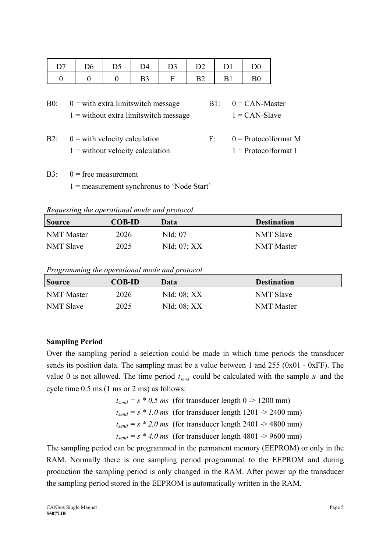| D7 | D <sub>6</sub> | D5 | D <sub>4</sub> | D3           | D2 | D <sub>1</sub> | D <sub>0</sub> |
|----|----------------|----|----------------|--------------|----|----------------|----------------|
|    |                |    | B <sub>3</sub> | $\mathbf{F}$ | B2 | B <sub>1</sub> | B(             |

| $B0$ : | $0 =$ with extra limits witch message    | $B1: 0 = CAN-Master$ |
|--------|------------------------------------------|----------------------|
|        | $1 =$ without extra limits witch message | $1 = CAN-Slave$      |

- B2:  $0 =$  with velocity calculation  $F: 0 =$  Protocolformat M  $1 =$  without velocity calculation  $1 =$  Protocolformat I
- B3:  $0 =$  free measurement 1 = measurement synchronus to 'Node Start'

*Requesting the operational mode and protocol* 

| <b>Source</b>    | <b>COB-ID</b> | Data                | <b>Destination</b> |
|------------------|---------------|---------------------|--------------------|
| NMT Master       | 2026          | NId; 07             | <b>NMT Slave</b>   |
| <b>NMT Slave</b> | 2025          | $NId$ ; $07$ ; $XX$ | <b>NMT</b> Master  |

*Programming the operational mode and protocol* 

| <b>Source</b>     | <b>COB-ID</b> | Data                | <b>Destination</b> |  |
|-------------------|---------------|---------------------|--------------------|--|
| <b>NMT</b> Master | 2026          | $NId$ ; $08$ ; $XX$ | <b>NMT Slave</b>   |  |
| <b>NMT Slave</b>  | 2025          | $NId$ ; $08$ ; $XX$ | <b>NMT</b> Master  |  |

#### **Sampling Period**

Over the sampling period a selection could be made in which time periods the transducer sends its position data. The sampling must be a value between 1 and 255 (0x01 - 0xFF). The value 0 is not allowed. The time period  $t_{send}$  could be calculated with the sample *s* and the cycle time 0.5 ms (1 ms or 2 ms) as follows:

> $t_{send} = s * 0.5$  *ms* (for transducer length 0 -> 1200 mm)  $t_{send} = s * 1.0$  ms (for transducer length 1201 -> 2400 mm)  $t_{send} = s * 2.0$  ms (for transducer length 2401 -> 4800 mm)  $t_{send} = s * 4.0$  ms (for transducer length 4801 -> 9600 mm)

The sampling period can be programmed in the permanent memory (EEPROM) or only in the RAM. Normally there is one sampling period programmed to the EEPROM and during production the sampling period is only changed in the RAM. After power up the transducer the sampling period stored in the EEPROM is automatically written in the RAM.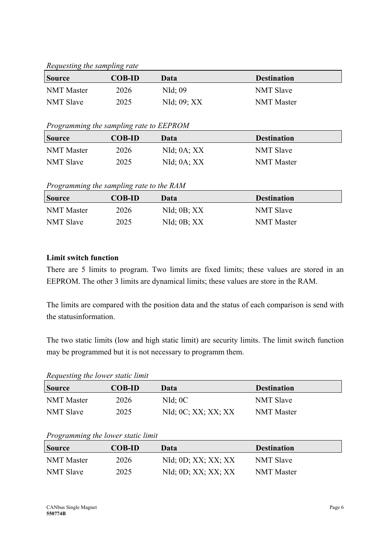*Requesting the sampling rate* 

| <b>Source</b>     | <b>COB-ID</b> | Data             | <b>Destination</b> |  |
|-------------------|---------------|------------------|--------------------|--|
| <b>NMT</b> Master | 2026          | $NId$ ; 09       | <b>NMT Slave</b>   |  |
| <b>NMT Slave</b>  | 2025          | $NId$ ; 09; $XX$ | <b>NMT</b> Master  |  |

#### *Programming the sampling rate to EEPROM*

| <b>Source</b>    | <b>COB-ID</b> | Data                | <b>Destination</b> |
|------------------|---------------|---------------------|--------------------|
| NMT Master       | 2026          | $NId$ ; $0A$ ; $XX$ | <b>NMT Slave</b>   |
| <b>NMT Slave</b> | 2025          | $NId$ ; $0A$ ; $XX$ | <b>NMT</b> Master  |

*Programming the sampling rate to the RAM* 

| <b>Source</b>     | <b>COB-ID</b> | Data                | <b>Destination</b> |
|-------------------|---------------|---------------------|--------------------|
| <b>NMT</b> Master | 2026          | $NId$ ; $0B$ ; $XX$ | <b>NMT Slave</b>   |
| <b>NMT Slave</b>  | 2025          | $NId$ ; $0B$ ; $XX$ | <b>NMT</b> Master  |

## **Limit switch function**

There are 5 limits to program. Two limits are fixed limits; these values are stored in an EEPROM. The other 3 limits are dynamical limits; these values are store in the RAM.

The limits are compared with the position data and the status of each comparison is send with the statusinformation.

The two static limits (low and high static limit) are security limits. The limit switch function may be programmed but it is not necessary to programm them.

*Requesting the lower static limit* 

| <b>Source</b>    | <b>COB-ID</b> | Data                              | <b>Destination</b> |
|------------------|---------------|-----------------------------------|--------------------|
| NMT Master       | 2026          | $NId$ ; $0C$                      | <b>NMT Slave</b>   |
| <b>NMT Slave</b> | 2025          | $NId$ ; $0C$ ; $XX$ ; $XX$ ; $XX$ | <b>NMT</b> Master  |

## *Programming the lower static limit*

| <b>Source</b>    | <b>COB-ID</b> | Data                              | <b>Destination</b> |
|------------------|---------------|-----------------------------------|--------------------|
| NMT Master       | 2026          | $NId$ ; $0D$ ; $XX$ ; $XX$ ; $XX$ | <b>NMT Slave</b>   |
| <b>NMT Slave</b> | 2025          | $NId$ ; $0D$ ; $XX$ ; $XX$ ; $XX$ | <b>NMT</b> Master  |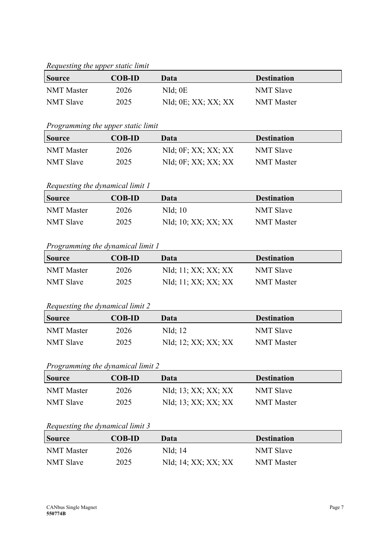#### *Requesting the upper static limit*

| <b>Source</b>    | <b>COB-ID</b> | Data                              | <b>Destination</b> |  |
|------------------|---------------|-----------------------------------|--------------------|--|
| NMT Master       | 2026          | $NId$ ; $0E$                      | <b>NMT Slave</b>   |  |
| <b>NMT Slave</b> | 2025          | $NId$ ; $0E$ ; $XX$ ; $XX$ ; $XX$ | <b>NMT</b> Master  |  |

#### *Programming the upper static limit*

| <b>Source</b> | <b>COB-ID</b> | Data                              | <b>Destination</b> |
|---------------|---------------|-----------------------------------|--------------------|
| NMT Master    | 2026          | $NId$ ; $0F$ ; $XX$ ; $XX$ ; $XX$ | <b>NMT Slave</b>   |
| NMT Slave     | 2025          | $NId$ ; $0F$ ; $XX$ ; $XX$ ; $XX$ | <b>NMT</b> Master  |

## *Requesting the dynamical limit 1*

| <b>Source</b>     | <b>COB-ID</b> | Data                | <b>Destination</b> |
|-------------------|---------------|---------------------|--------------------|
| <b>NMT</b> Master | 2026          | $NId$ ; 10          | <b>NMT Slave</b>   |
| <b>NMT Slave</b>  | 2025          | NId; 10; XX; XX; XX | <b>NMT</b> Master  |

## *Programming the dynamical limit 1*

| <b>Source</b>    | <b>COB-ID</b> | Data                | <b>Destination</b> |
|------------------|---------------|---------------------|--------------------|
| NMT Master       | 2026          | NId; 11; XX; XX; XX | <b>NMT Slave</b>   |
| <b>NMT Slave</b> | 2025          | NId; 11; XX; XX; XX | <b>NMT</b> Master  |

## *Requesting the dynamical limit 2*

| <b>Source</b>    | <b>COB-ID</b> | Data                | <b>Destination</b> |
|------------------|---------------|---------------------|--------------------|
| NMT Master       | 2026          | NId; 12             | <b>NMT Slave</b>   |
| <b>NMT Slave</b> | 2025          | NId; 12; XX; XX; XX | <b>NMT</b> Master  |

## *Programming the dynamical limit 2*

| <b>Source</b>    | <b>COB-ID</b> | Data                | <b>Destination</b> |
|------------------|---------------|---------------------|--------------------|
| NMT Master       | 2026          | NId; 13; XX; XX; XX | <b>NMT Slave</b>   |
| <b>NMT Slave</b> | 2025          | NId; 13; XX; XX; XX | NMT Master         |

#### *Requesting the dynamical limit 3*

| <b>Source</b>    | <b>COB-ID</b> | Data                | <b>Destination</b> |
|------------------|---------------|---------------------|--------------------|
| NMT Master       | 2026          | NId: 14             | <b>NMT Slave</b>   |
| <b>NMT Slave</b> | 2025          | NId; 14; XX; XX; XX | <b>NMT</b> Master  |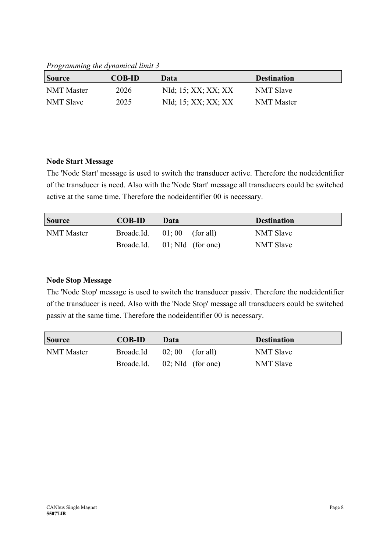*Programming the dynamical limit 3* 

| <b>Source</b>    | <b>COB-ID</b> | Data                | <b>Destination</b> |
|------------------|---------------|---------------------|--------------------|
| NMT Master       | 2026          | NId; 15; XX; XX; XX | <b>NMT Slave</b>   |
| <b>NMT Slave</b> | 2025          | NId; 15; XX; XX; XX | <b>NMT</b> Master  |

#### **Node Start Message**

The 'Node Start' message is used to switch the transducer active. Therefore the nodeidentifier of the transducer is need. Also with the 'Node Start' message all transducers could be switched active at the same time. Therefore the nodeidentifier 00 is necessary.

| <b>Source</b>     | <b>COB-ID</b> | Data                 | <b>Destination</b> |
|-------------------|---------------|----------------------|--------------------|
| <b>NMT</b> Master | Broadc.Id.    | $01;00$ (for all)    | <b>NMT Slave</b>   |
|                   | Broadc.Id.    | $01$ ; NId (for one) | <b>NMT Slave</b>   |

#### **Node Stop Message**

The 'Node Stop' message is used to switch the transducer passiv. Therefore the nodeidentifier of the transducer is need. Also with the 'Node Stop' message all transducers could be switched passiv at the same time. Therefore the nodeidentifier 00 is necessary.

| <b>Source</b>     | <b>COB-ID</b> | Data                 | <b>Destination</b> |
|-------------------|---------------|----------------------|--------------------|
| <b>NMT</b> Master | Broadc.Id     | $02; 00$ (for all)   | <b>NMT Slave</b>   |
|                   | Broadc.Id.    | $02$ ; NId (for one) | <b>NMT Slave</b>   |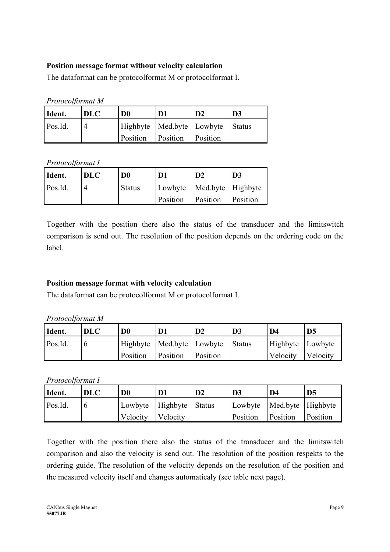## **Position message format without velocity calculation**

The dataformat can be protocolformat M or protocolformat I.

*Protocolformat M*

| Ident.  | <b>DLC</b> | D <sub>0</sub> | D1                | D <sub>2</sub>                         | D <sub>3</sub> |
|---------|------------|----------------|-------------------|----------------------------------------|----------------|
| Pos.Id. |            |                |                   | Highbyte   Med.byte   Lowbyte   Status |                |
|         |            | Position       | Position Position |                                        |                |

*Protocolformat I*

| Ident.  | <b>DLC</b> | D <sub>0</sub> | D1                            | $\mathbf{D}2$ | D <sub>3</sub> |
|---------|------------|----------------|-------------------------------|---------------|----------------|
| Pos.Id. |            | <b>Status</b>  | Lowbyte   Med.byte   Highbyte |               |                |
|         |            |                | Position                      | Position      | Position       |

Together with the position there also the status of the transducer and the limitswitch comparison is send out. The resolution of the position depends on the ordering code on the label.

## **Position message format with velocity calculation**

The dataformat can be protocolformat M or protocolformat I.

| Protocolformat M |  |
|------------------|--|
|                  |  |

| Ident.  | <b>DLC</b> | D <sub>0</sub>                |          | D <sub>2</sub> | D3            | D4               | D <sub>5</sub> |
|---------|------------|-------------------------------|----------|----------------|---------------|------------------|----------------|
| Pos.Id. |            | Highbyte   Med.byte   Lowbyte |          |                | <b>Status</b> | Highbyte Lowbyte |                |
|         |            | Position                      | Position | Position       |               | Velocity         | Velocity       |

*Protocolformat I*

| Ident.  | <b>DLC</b> | D <sub>0</sub> |                         | D <sub>2</sub> | D <sub>3</sub> | D4                            | D <sub>5</sub> |
|---------|------------|----------------|-------------------------|----------------|----------------|-------------------------------|----------------|
| Pos.Id. |            |                | Lowbyte Highbyte Status |                |                | Lowbyte   Med.byte   Highbyte |                |
|         |            | Velocity       | Velocity                |                | Position       | Position                      | Position       |

Together with the position there also the status of the transducer and the limitswitch comparison and also the velocity is send out. The resolution of the position respekts to the ordering guide. The resolution of the velocity depends on the resolution of the position and the measured velocity itself and changes automaticaly (see table next page).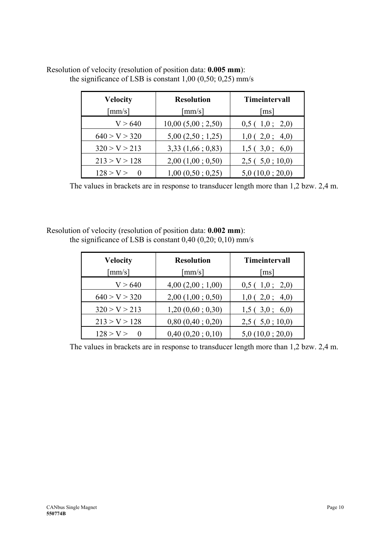| <b>Velocity</b> | <b>Resolution</b>      | <b>Timeintervall</b> |
|-----------------|------------------------|----------------------|
| $\lceil$ mm/s]  | $\lceil$ mm/s $\rceil$ | $\lceil ms \rceil$   |
| V > 640         | 10,00(5,00; 2,50)      | 0,5(1,0; 2,0)        |
| 640 > V > 320   | 5,00(2,50; 1,25)       | 1,0(2,0; 4,0)        |
| 320 > V > 213   | 3,33(1,66; 0,83)       | 1,5(3,0;6,0)         |
| 213 > V > 128   | 2,00(1,00; 0,50)       | 2,5(5,0;10,0)        |
| 128 > V >       | 1,00(0,50; 0,25)       | 5,0(10,0;20,0)       |

## Resolution of velocity (resolution of position data: **0.005 mm**): the significance of LSB is constant  $1,00$   $(0,50; 0,25)$  mm/s

The values in brackets are in response to transducer length more than 1,2 bzw. 2,4 m.

#### Resolution of velocity (resolution of position data: **0.002 mm**): the significance of LSB is constant  $0,40$   $(0,20; 0,10)$  mm/s

| <b>Velocity</b> | <b>Resolution</b>      | Timeintervall      |  |
|-----------------|------------------------|--------------------|--|
| $\lceil$ mm/s]  | $\lceil$ mm/s $\rceil$ | $\lceil ms \rceil$ |  |
| V > 640         | 4,00(2,00; 1,00)       | 0,5(1,0; 2,0)      |  |
| 640 > V > 320   | $2,00$ $(1,00; 0,50)$  | 1,0(2,0; 4,0)      |  |
| 320 > V > 213   | 1,20(0,60; 0,30)       | 1,5(3,0;6,0)       |  |
| 213 > V > 128   | $0,80$ $(0,40; 0,20)$  | 2,5(5,0;10,0)      |  |
| 128 > V >       | 0,40(0,20;0,10)        | 5,0(10,0;20,0)     |  |

The values in brackets are in response to transducer length more than 1,2 bzw. 2,4 m.